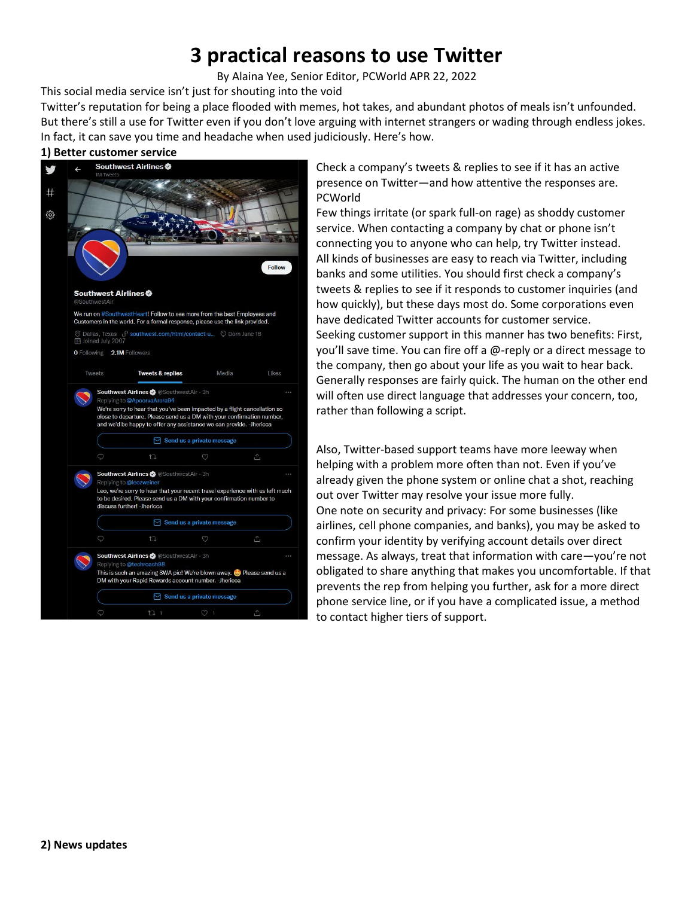# **3 practical reasons to use Twitter**

By [Alaina Yee,](https://www.pcworld.com/author/ayee) Senior Editor, PCWorld APR 22, 2022

This social media service isn't just for shouting into the void

Twitter's reputation for being a place flooded with memes, hot takes, and abundant photos of meals isn't unfounded. But there's still a use for Twitter even if you don't love arguing with internet strangers or wading through endless jokes. In fact, it can save you time and headache when used judiciously. Here's how.

## **1) Better customer service**



Check a company's tweets & replies to see if it has an active presence on Twitter—and how attentive the responses are. PCWorld

Few things irritate (or spark full-on rage) as shoddy customer service. When contacting a company by chat or phone isn't connecting you to anyone who can help, try Twitter instead. All kinds of businesses are easy to reach via Twitter, including banks and some utilities. You should first check a company's tweets & replies to see if it responds to customer inquiries (and how quickly), but these days most do. Some corporations even have dedicated Twitter accounts for customer service. Seeking customer support in this manner has two benefits: First, you'll save time. You can fire off a @-reply or a direct message to the company, then go about your life as you wait to hear back. Generally responses are fairly quick. The human on the other end will often use direct language that addresses your concern, too, rather than following a script.

Also, Twitter-based support teams have more leeway when helping with a problem more often than not. Even if you've already given the phone system or online chat a shot, reaching out over Twitter may resolve your issue more fully. One note on security and privacy: For some businesses (like airlines, cell phone companies, and banks), you may be asked to confirm your identity by verifying account details over direct message. As always, treat that information with care—you're not obligated to share anything that makes you uncomfortable. If that prevents the rep from helping you further, ask for a more direct phone service line, or if you have a complicated issue, a method to contact higher tiers of support.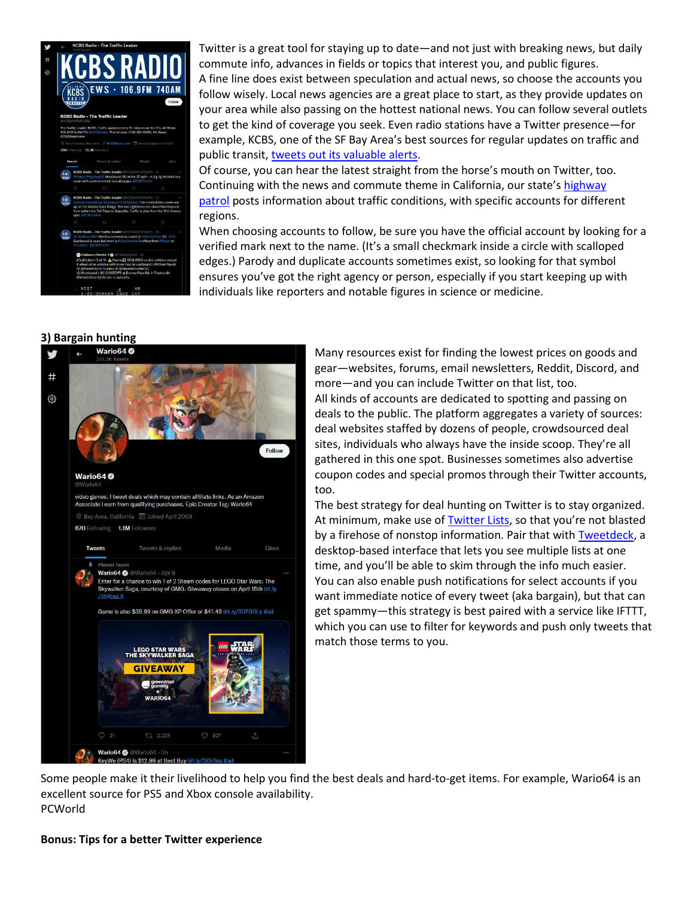

Twitter is a great tool for staying up to date—and not just with breaking news, but daily commute info, advances in fields or topics that interest you, and public figures. A fine line does exist between speculation and actual news, so choose the accounts you follow wisely. Local news agencies are a great place to start, as they provide updates on your area while also passing on the hottest national news. You can follow several outlets to get the kind of coverage you seek. Even radio stations have a Twitter presence—for example, KCBS, one of the SF Bay Area's best sources for regular updates on traffic and public transit, [tweets out its valuable alerts.](https://go.redirectingat.com/?id=111346X1569483&url=https://twitter.com/kcbsamfmtraffic?lang=en&xcust=2-1-632753-1-0-0&sref=https://www.pcworld.com/article/632753/3-reasons-for-normal-people-to-use-twitter.html)

Of course, you can hear the latest straight from the horse's mouth on Twitter, too. Continuing with the news and commute theme in California, our state's highway [patrol](https://go.redirectingat.com/?id=111346X1569483&url=https://twitter.com/CHP_GoldenGate&xcust=2-1-632753-1-0-0&sref=https://www.pcworld.com/article/632753/3-reasons-for-normal-people-to-use-twitter.html) posts information about traffic conditions, with specific accounts for different regions.

When choosing accounts to follow, be sure you have the official account by looking for a verified mark next to the name. (It's a small checkmark inside a circle with scalloped edges.) Parody and duplicate accounts sometimes exist, so looking for that symbol ensures you've got the right agency or person, especially if you start keeping up with individuals like reporters and notable figures in science or medicine.

#### **3) Bargain hunting**



Many resources exist for finding the lowest prices on goods and gear—websites, forums, email newsletters, Reddit, Discord, and more—and you can include Twitter on that list, too. All kinds of accounts are dedicated to spotting and passing on

deals to the public. The platform aggregates a variety of sources: deal websites staffed by dozens of people, crowdsourced deal sites, individuals who always have the inside scoop. They're all gathered in this one spot. Businesses sometimes also advertise coupon codes and special promos through their Twitter accounts, too.

The best strategy for deal hunting on Twitter is to stay organized. At minimum, make use of **[Twitter Lists](https://go.redirectingat.com/?id=111346X1569483&url=https://help.twitter.com/en/using-twitter/twitter-lists&xcust=2-1-632753-1-0-0&sref=https://www.pcworld.com/article/632753/3-reasons-for-normal-people-to-use-twitter.html)**, so that you're not blasted by a firehose of nonstop information. Pair that with [Tweetdeck,](https://go.redirectingat.com/?id=111346X1569483&url=https://tweetdeck.twitter.com/&xcust=2-1-632753-1-0-0&sref=https://www.pcworld.com/article/632753/3-reasons-for-normal-people-to-use-twitter.html) a desktop-based interface that lets you see multiple lists at one time, and you'll be able to skim through the info much easier. You can also enable push notifications for select accounts if you want immediate notice of every tweet (aka bargain), but that can get spammy—this strategy is best paired with a service like IFTTT, which you can use to filter for keywords and push only tweets that match those terms to you.

Some people make it their livelihood to help you find the best deals and hard-to-get items. For example, Wario64 is an excellent source for PS5 and Xbox console availability. PCWorld

#### **Bonus: Tips for a better Twitter experience**